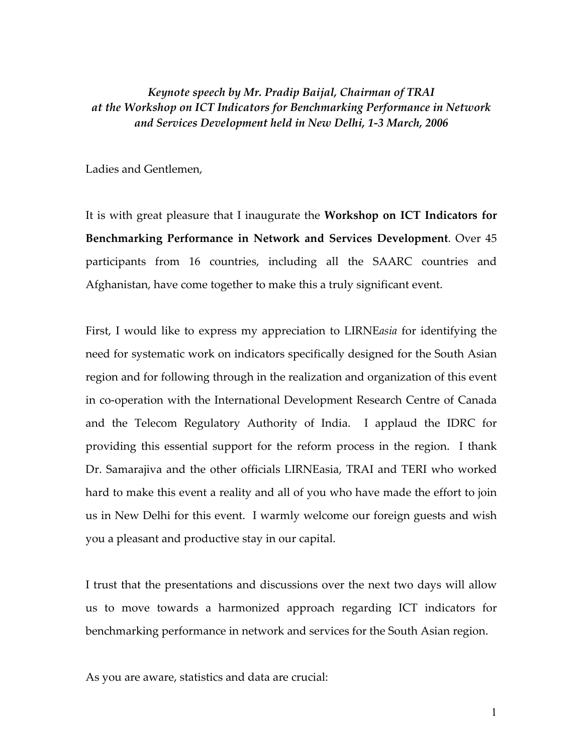## *Keynote speech by Mr. Pradip Baijal, Chairman of TRAI at the Workshop on ICT Indicators for Benchmarking Performance in Network and Services Development held in New Delhi, 1-3 March, 2006*

Ladies and Gentlemen,

It is with great pleasure that I inaugurate the **Workshop on ICT Indicators for Benchmarking Performance in Network and Services Development**. Over 45 participants from 16 countries, including all the SAARC countries and Afghanistan, have come together to make this a truly significant event.

First, I would like to express my appreciation to LIRNE*asia* for identifying the need for systematic work on indicators specifically designed for the South Asian region and for following through in the realization and organization of this event in co-operation with the International Development Research Centre of Canada and the Telecom Regulatory Authority of India. I applaud the IDRC for providing this essential support for the reform process in the region. I thank Dr. Samarajiva and the other officials LIRNEasia, TRAI and TERI who worked hard to make this event a reality and all of you who have made the effort to join us in New Delhi for this event. I warmly welcome our foreign guests and wish you a pleasant and productive stay in our capital.

I trust that the presentations and discussions over the next two days will allow us to move towards a harmonized approach regarding ICT indicators for benchmarking performance in network and services for the South Asian region.

As you are aware, statistics and data are crucial: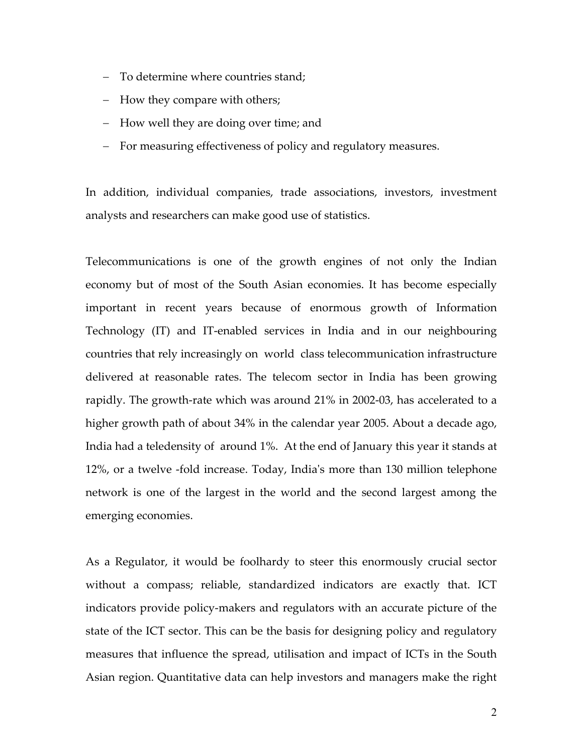- − To determine where countries stand;
- − How they compare with others;
- − How well they are doing over time; and
- − For measuring effectiveness of policy and regulatory measures.

In addition, individual companies, trade associations, investors, investment analysts and researchers can make good use of statistics.

Telecommunications is one of the growth engines of not only the Indian economy but of most of the South Asian economies. It has become especially important in recent years because of enormous growth of Information Technology (IT) and IT-enabled services in India and in our neighbouring countries that rely increasingly on world class telecommunication infrastructure delivered at reasonable rates. The telecom sector in India has been growing rapidly. The growth-rate which was around 21% in 2002-03, has accelerated to a higher growth path of about 34% in the calendar year 2005. About a decade ago, India had a teledensity of around 1%. At the end of January this year it stands at 12%, or a twelve -fold increase. Today, Indiaʹs more than 130 million telephone network is one of the largest in the world and the second largest among the emerging economies.

As a Regulator, it would be foolhardy to steer this enormously crucial sector without a compass; reliable, standardized indicators are exactly that. ICT indicators provide policy-makers and regulators with an accurate picture of the state of the ICT sector. This can be the basis for designing policy and regulatory measures that influence the spread, utilisation and impact of ICTs in the South Asian region. Quantitative data can help investors and managers make the right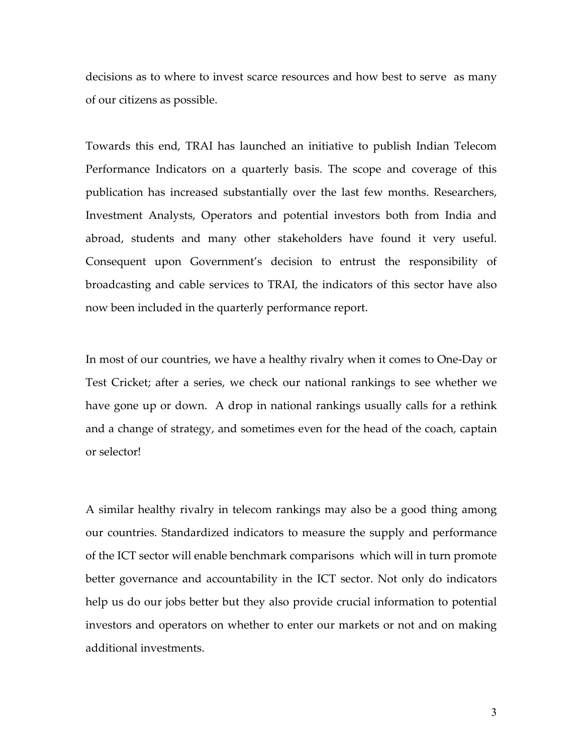decisions as to where to invest scarce resources and how best to serve as many of our citizens as possible.

Towards this end, TRAI has launched an initiative to publish Indian Telecom Performance Indicators on a quarterly basis. The scope and coverage of this publication has increased substantially over the last few months. Researchers, Investment Analysts, Operators and potential investors both from India and abroad, students and many other stakeholders have found it very useful. Consequent upon Government's decision to entrust the responsibility of broadcasting and cable services to TRAI, the indicators of this sector have also now been included in the quarterly performance report.

In most of our countries, we have a healthy rivalry when it comes to One-Day or Test Cricket; after a series, we check our national rankings to see whether we have gone up or down. A drop in national rankings usually calls for a rethink and a change of strategy, and sometimes even for the head of the coach, captain or selector!

A similar healthy rivalry in telecom rankings may also be a good thing among our countries. Standardized indicators to measure the supply and performance of the ICT sector will enable benchmark comparisons which will in turn promote better governance and accountability in the ICT sector. Not only do indicators help us do our jobs better but they also provide crucial information to potential investors and operators on whether to enter our markets or not and on making additional investments.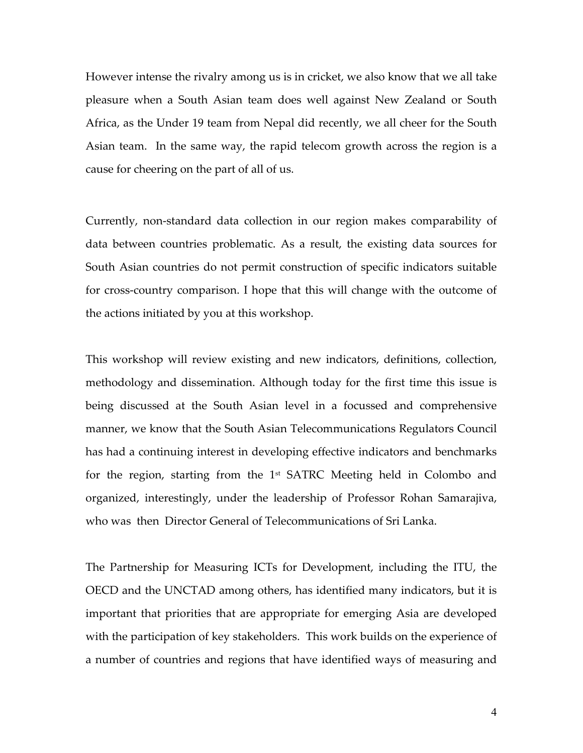However intense the rivalry among us is in cricket, we also know that we all take pleasure when a South Asian team does well against New Zealand or South Africa, as the Under 19 team from Nepal did recently, we all cheer for the South Asian team. In the same way, the rapid telecom growth across the region is a cause for cheering on the part of all of us.

Currently, non-standard data collection in our region makes comparability of data between countries problematic. As a result, the existing data sources for South Asian countries do not permit construction of specific indicators suitable for cross-country comparison. I hope that this will change with the outcome of the actions initiated by you at this workshop.

This workshop will review existing and new indicators, definitions, collection, methodology and dissemination. Although today for the first time this issue is being discussed at the South Asian level in a focussed and comprehensive manner, we know that the South Asian Telecommunications Regulators Council has had a continuing interest in developing effective indicators and benchmarks for the region, starting from the  $1<sup>st</sup>$  SATRC Meeting held in Colombo and organized, interestingly, under the leadership of Professor Rohan Samarajiva, who was then Director General of Telecommunications of Sri Lanka.

The Partnership for Measuring ICTs for Development, including the ITU, the OECD and the UNCTAD among others, has identified many indicators, but it is important that priorities that are appropriate for emerging Asia are developed with the participation of key stakeholders. This work builds on the experience of a number of countries and regions that have identified ways of measuring and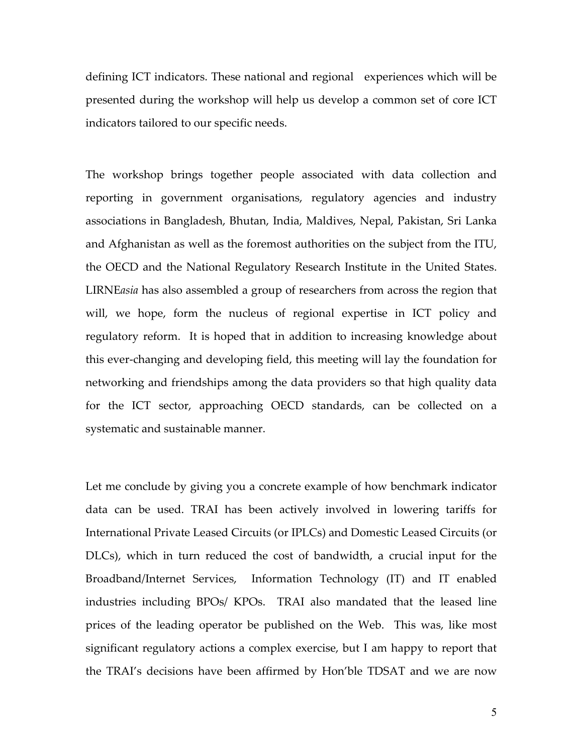defining ICT indicators. These national and regional experiences which will be presented during the workshop will help us develop a common set of core ICT indicators tailored to our specific needs.

The workshop brings together people associated with data collection and reporting in government organisations, regulatory agencies and industry associations in Bangladesh, Bhutan, India, Maldives, Nepal, Pakistan, Sri Lanka and Afghanistan as well as the foremost authorities on the subject from the ITU, the OECD and the National Regulatory Research Institute in the United States. LIRNE*asia* has also assembled a group of researchers from across the region that will, we hope, form the nucleus of regional expertise in ICT policy and regulatory reform. It is hoped that in addition to increasing knowledge about this ever-changing and developing field, this meeting will lay the foundation for networking and friendships among the data providers so that high quality data for the ICT sector, approaching OECD standards, can be collected on a systematic and sustainable manner.

Let me conclude by giving you a concrete example of how benchmark indicator data can be used. TRAI has been actively involved in lowering tariffs for International Private Leased Circuits (or IPLCs) and Domestic Leased Circuits (or DLCs), which in turn reduced the cost of bandwidth, a crucial input for the Broadband/Internet Services, Information Technology (IT) and IT enabled industries including BPOs/ KPOs. TRAI also mandated that the leased line prices of the leading operator be published on the Web. This was, like most significant regulatory actions a complex exercise, but I am happy to report that the TRAI's decisions have been affirmed by Hon'ble TDSAT and we are now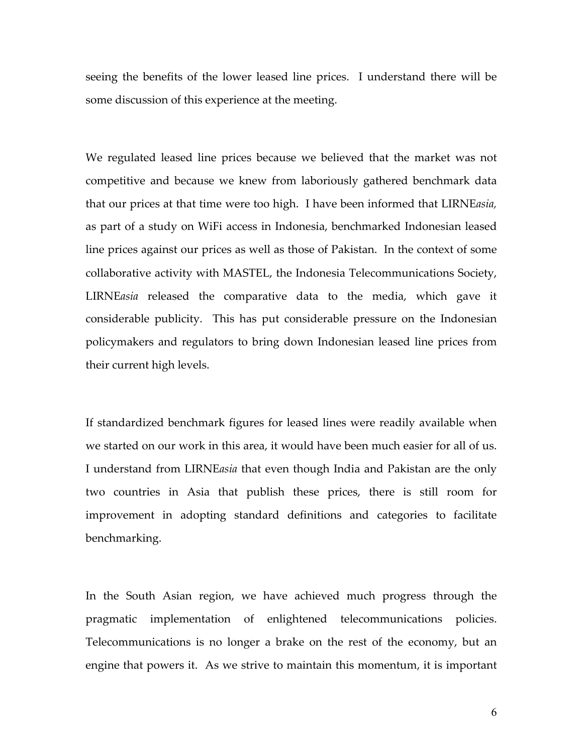seeing the benefits of the lower leased line prices. I understand there will be some discussion of this experience at the meeting.

We regulated leased line prices because we believed that the market was not competitive and because we knew from laboriously gathered benchmark data that our prices at that time were too high. I have been informed that LIRNE*asia,*  as part of a study on WiFi access in Indonesia, benchmarked Indonesian leased line prices against our prices as well as those of Pakistan. In the context of some collaborative activity with MASTEL, the Indonesia Telecommunications Society, LIRNE*asia* released the comparative data to the media, which gave it considerable publicity. This has put considerable pressure on the Indonesian policymakers and regulators to bring down Indonesian leased line prices from their current high levels.

If standardized benchmark figures for leased lines were readily available when we started on our work in this area, it would have been much easier for all of us. I understand from LIRNE*asia* that even though India and Pakistan are the only two countries in Asia that publish these prices, there is still room for improvement in adopting standard definitions and categories to facilitate benchmarking.

In the South Asian region, we have achieved much progress through the pragmatic implementation of enlightened telecommunications policies. Telecommunications is no longer a brake on the rest of the economy, but an engine that powers it. As we strive to maintain this momentum, it is important